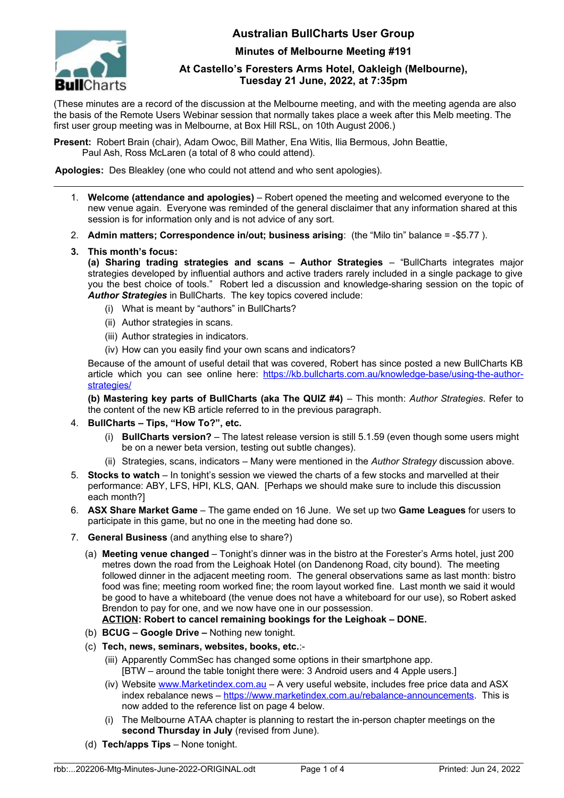

## **Australian BullCharts User Group**

**Minutes of Melbourne Meeting #191**

### **At Castello's Foresters Arms Hotel, Oakleigh (Melbourne), Tuesday 21 June, 2022, at 7:35pm**

(These minutes are a record of the discussion at the Melbourne meeting, and with the meeting agenda are also the basis of the Remote Users Webinar session that normally takes place a week after this Melb meeting. The first user group meeting was in Melbourne, at Box Hill RSL, on 10th August 2006.)

**Present:** Robert Brain (chair), Adam Owoc, Bill Mather, Ena Witis, Ilia Bermous, John Beattie, Paul Ash, Ross McLaren (a total of 8 who could attend).

**Apologies:** Des Bleakley (one who could not attend and who sent apologies).

- 1. **Welcome (attendance and apologies)** Robert opened the meeting and welcomed everyone to the new venue again. Everyone was reminded of the general disclaimer that any information shared at this session is for information only and is not advice of any sort.
- 2. **Admin matters; Correspondence in/out; business arising**: (the "Milo tin" balance = -\$5.77 ).
- **3. This month's focus:**

**(a) Sharing trading strategies and scans – Author Strategies** – "BullCharts integrates major strategies developed by influential authors and active traders rarely included in a single package to give you the best choice of tools." Robert led a discussion and knowledge-sharing session on the topic of *Author Strategies* in BullCharts. The key topics covered include:

- (i) What is meant by "authors" in BullCharts?
- (ii) Author strategies in scans.
- (iii) Author strategies in indicators.
- (iv) How can you easily find your own scans and indicators?

Because of the amount of useful detail that was covered, Robert has since posted a new BullCharts KB article which you can see online here: [https://kb.bullcharts.com.au/knowledge-base/using-the-author](https://kb.bullcharts.com.au/knowledge-base/using-the-author-strategies/)[strategies/](https://kb.bullcharts.com.au/knowledge-base/using-the-author-strategies/)

**(b) Mastering key parts of BullCharts (aka The QUIZ #4)** – This month: *Author Strategies*. Refer to the content of the new KB article referred to in the previous paragraph.

- 4. **BullCharts Tips, "How To?", etc.**
	- (i) **BullCharts version?**  The latest release version is still 5.1.59 (even though some users might be on a newer beta version, testing out subtle changes).
	- (ii) Strategies, scans, indicators Many were mentioned in the *Author Strategy* discussion above.
- 5. **Stocks to watch** In tonight's session we viewed the charts of a few stocks and marvelled at their performance: ABY, LFS, HPI, KLS, QAN. [Perhaps we should make sure to include this discussion each month?]
- 6. **ASX Share Market Game** The game ended on 16 June. We set up two **Game Leagues** for users to participate in this game, but no one in the meeting had done so.
- 7. **General Business** (and anything else to share?)
	- (a) **Meeting venue changed** Tonight's dinner was in the bistro at the Forester's Arms hotel, just 200 metres down the road from the Leighoak Hotel (on Dandenong Road, city bound). The meeting followed dinner in the adjacent meeting room. The general observations same as last month: bistro food was fine; meeting room worked fine; the room layout worked fine. Last month we said it would be good to have a whiteboard (the venue does not have a whiteboard for our use), so Robert asked Brendon to pay for one, and we now have one in our possession.

# **ACTION: Robert to cancel remaining bookings for the Leighoak – DONE.**

- (b) **BCUG Google Drive** Nothing new tonight.
- (c) **Tech, news, seminars, websites, books, etc.**:-
	- (iii) Apparently CommSec has changed some options in their smartphone app. [BTW – around the table tonight there were: 3 Android users and 4 Apple users.]
	- (iv) Website [www.Marketindex.com.au](http://www.Marketindex.com.au/) A very useful website, includes free price data and ASX index rebalance news – [https://www.marketindex.com.au/rebalance-announcements.](https://www.marketindex.com.au/rebalance-announcements) This is now added to the reference list on page 4 below.
	- (i) The Melbourne ATAA chapter is planning to restart the in-person chapter meetings on the **second Thursday in July** (revised from June).
- (d) **Tech/apps Tips** None tonight.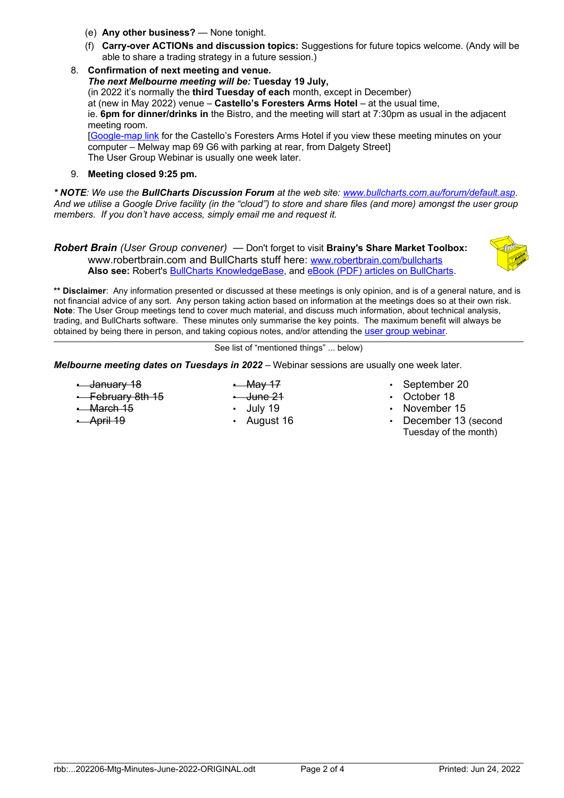- (e) **Any other business?** None tonight.
- (f) **Carry-over ACTIONs and discussion topics:** Suggestions for future topics welcome. (Andy will be able to share a trading strategy in a future session.)
- 8. **Confirmation of next meeting and venue.**  *The next Melbourne meeting will be:* **Tuesday 19 July,** (in 2022 it's normally the **third Tuesday of each** month, except in December) at (new in May 2022) venue – **Castello's Foresters Arms Hotel** – at the usual time, ie. **6pm for dinner/drinks in** the Bistro, and the meeting will start at 7:30pm as usual in the adjacent meeting room. [\[Google-map link](https://www.google.com.au/maps/place/Castellos+Foresters+Arms+Hotel/@-37.8930507,145.0890719,884m/data=!3m2!1e3!4b1!4m5!3m4!1s0x6ad66a6079e813bf:0xf44706af5c8244da!8m2!3d-37.893055!4d145.0912606?hl=en) for the Castello's Foresters Arms Hotel if you view these meeting minutes on your computer – Melway map 69 G6 with parking at rear, from Dalgety Street] The User Group Webinar is usually one week later.

### 9. **Meeting closed 9:25 pm.**

*\* NOTE: We use the BullCharts Discussion Forum at the web site: [www.bullcharts.com.au/forum/default.asp](http://www.bullcharts.com.au/forum/default.asp). And we utilise a Google Drive facility (in the "cloud") to store and share files (and more) amongst the user group members. If you don't have access, simply email me and request it.*

*Robert Brain (User Group convener)* — Don't forget to visit **Brainy's Share Market Toolbox:** www.robertbrain.com and BullCharts stuff here: [www.robertbrain.com/bullcharts](http://www.robertbrain.com/bullcharts) **Also see:** Robert's [BullCharts KnowledgeBase,](http://www.robertbrain.com/bullcharts/kb.html) and [eBook \(PDF\) articles on BullCharts](http://www.robertbrain.com/members-area/articles.html).

**\*\* Disclaimer**: Any information presented or discussed at these meetings is only opinion, and is of a general nature, and is not financial advice of any sort. Any person taking action based on information at the meetings does so at their own risk. **Note**: The User Group meetings tend to cover much material, and discuss much information, about technical analysis, trading, and BullCharts software. These minutes only summarise the key points. The maximum benefit will always be obtained by being there in person, and taking copious notes, and/or attending the [user group webinar](http://www.robertbrain.com/events/webinars/index.html).

See list of "mentioned things" ... below)

*Melbourne meeting dates on Tuesdays in 2022* – Webinar sessions are usually one week later.

• January 18 **-** February 8th 15 • March 15

• April 19

- $-May 17$
- June 21
- July 19
- August 16
- September 20
- October 18
- November 15
- December 13 (second Tuesday of the month)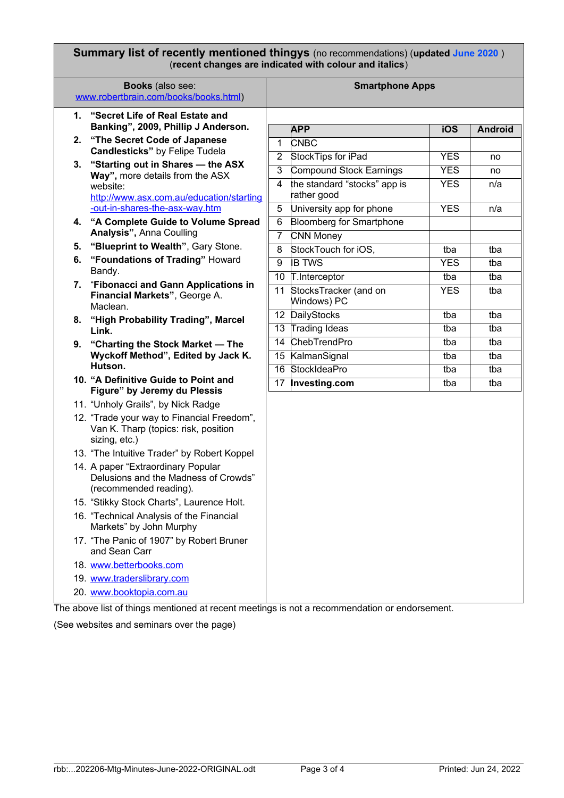#### **Summary list of recently mentioned thingys** (no recommendations) (**updated June 2020** ) (**recent changes are indicated with colour and italics**)

| <b>Books</b> (also see:<br>www.robertbrain.com/books/books.html) |                                                                                                      | <b>Smartphone Apps</b> |                                      |            |                |
|------------------------------------------------------------------|------------------------------------------------------------------------------------------------------|------------------------|--------------------------------------|------------|----------------|
| 1.                                                               | "Secret Life of Real Estate and<br>Banking", 2009, Phillip J Anderson.                               |                        | <b>APP</b>                           | iOS        | <b>Android</b> |
| 2.                                                               | "The Secret Code of Japanese                                                                         | 1                      | <b>CNBC</b>                          |            |                |
|                                                                  | <b>Candlesticks"</b> by Felipe Tudela                                                                | 2                      | StockTips for iPad                   | <b>YES</b> | no             |
| 3.                                                               | "Starting out in Shares - the ASX                                                                    | 3                      | Compound Stock Earnings              | <b>YES</b> | no             |
|                                                                  | Way", more details from the ASX                                                                      | 4                      | the standard "stocks" app is         | <b>YES</b> | n/a            |
|                                                                  | website:<br>http://www.asx.com.au/education/starting                                                 |                        | rather good                          |            |                |
|                                                                  | -out-in-shares-the-asx-way.htm                                                                       | 5                      | University app for phone             | <b>YES</b> | n/a            |
| 4.                                                               | "A Complete Guide to Volume Spread                                                                   | 6                      | <b>Bloomberg for Smartphone</b>      |            |                |
|                                                                  | Analysis", Anna Coulling                                                                             | $\overline{7}$         | <b>CNN Money</b>                     |            |                |
| 5.                                                               | "Blueprint to Wealth", Gary Stone.                                                                   | 8                      | StockTouch for iOS,                  | tba        | tba            |
| 6.                                                               | "Foundations of Trading" Howard                                                                      | 9                      | <b>IB TWS</b>                        | <b>YES</b> | tba            |
|                                                                  | Bandy.                                                                                               | 10                     | T.Interceptor                        | tba        | tba            |
| 7.                                                               | "Fibonacci and Gann Applications in<br>Financial Markets", George A.<br>Maclean.                     | 11                     | StocksTracker (and on<br>Windows) PC | <b>YES</b> | tba            |
| 8.                                                               | "High Probability Trading", Marcel                                                                   | 12                     | DailyStocks                          | tba        | tba            |
|                                                                  | Link.                                                                                                | 13                     | Trading Ideas                        | tba        | tba            |
| 9.                                                               | "Charting the Stock Market - The<br>Wyckoff Method", Edited by Jack K.                               | 14                     | <b>ChebTrendPro</b>                  | tba        | tba            |
|                                                                  |                                                                                                      | 15                     | KalmanSignal                         | tba        | tba            |
|                                                                  | Hutson.                                                                                              | 16                     | StockIdeaPro                         | tba        | tba            |
|                                                                  | 10. "A Definitive Guide to Point and<br>Figure" by Jeremy du Plessis                                 | 17                     | Investing.com                        | tba        | tba            |
|                                                                  | 11. "Unholy Grails", by Nick Radge                                                                   |                        |                                      |            |                |
|                                                                  | 12. "Trade your way to Financial Freedom",<br>Van K. Tharp (topics: risk, position<br>sizing, etc.)  |                        |                                      |            |                |
|                                                                  | 13. "The Intuitive Trader" by Robert Koppel                                                          |                        |                                      |            |                |
|                                                                  | 14. A paper "Extraordinary Popular<br>Delusions and the Madness of Crowds"<br>(recommended reading). |                        |                                      |            |                |
|                                                                  | 15. "Stikky Stock Charts", Laurence Holt.                                                            |                        |                                      |            |                |
|                                                                  | 16. "Technical Analysis of the Financial<br>Markets" by John Murphy                                  |                        |                                      |            |                |
|                                                                  | 17. "The Panic of 1907" by Robert Bruner<br>and Sean Carr                                            |                        |                                      |            |                |
|                                                                  | 18. www.betterbooks.com                                                                              |                        |                                      |            |                |
|                                                                  | 19. www.traderslibrary.com                                                                           |                        |                                      |            |                |
|                                                                  | 20. www.booktopia.com.au                                                                             |                        |                                      |            |                |
|                                                                  |                                                                                                      |                        |                                      |            |                |

The above list of things mentioned at recent meetings is not a recommendation or endorsement.

(See websites and seminars over the page)